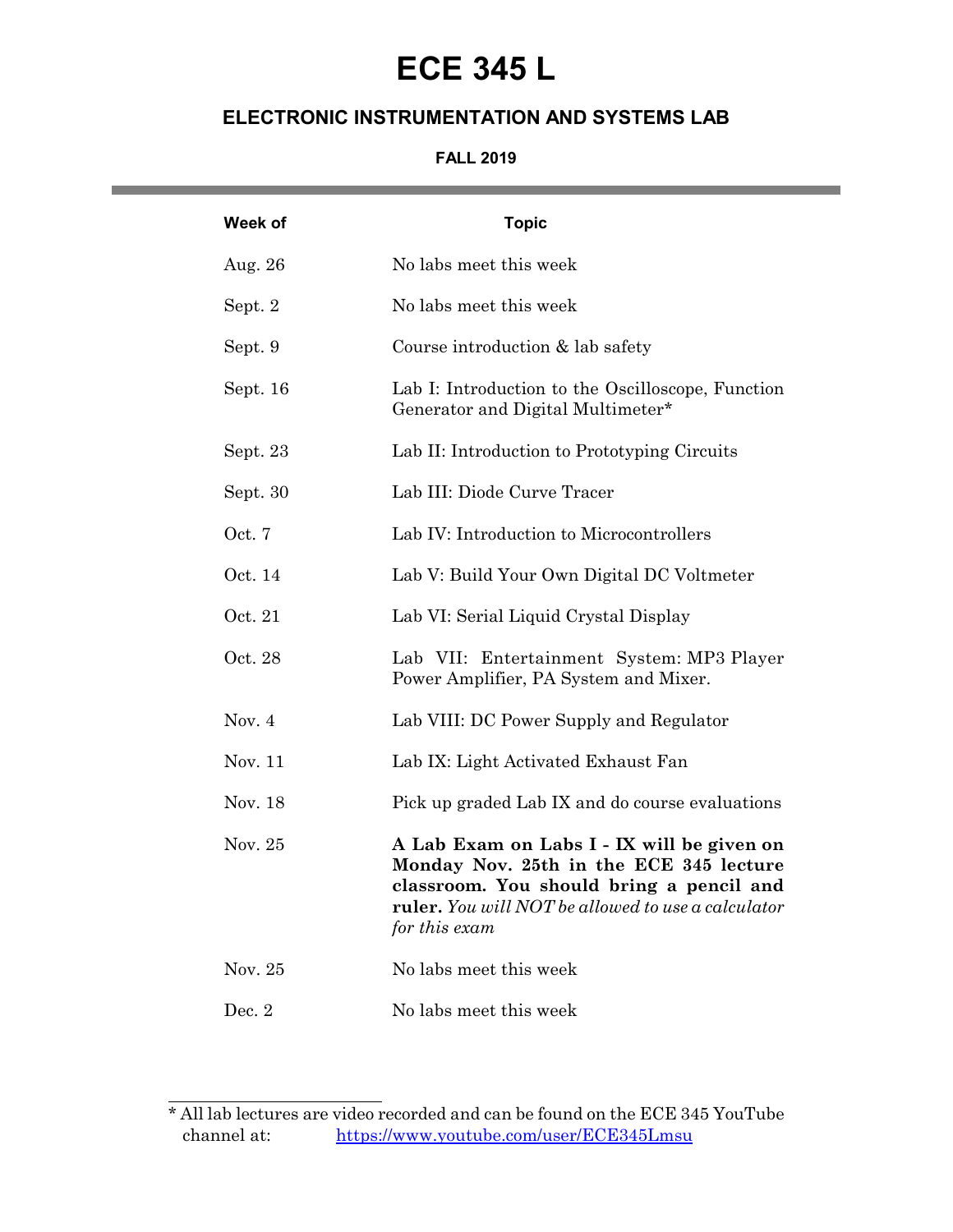# **ECE 345 L**

### **ELECTRONIC INSTRUMENTATION AND SYSTEMS LAB**

#### **FALL 2019**

| Week of  | <b>Topic</b>                                                                                                                                                                                             |
|----------|----------------------------------------------------------------------------------------------------------------------------------------------------------------------------------------------------------|
| Aug. 26  | No labs meet this week                                                                                                                                                                                   |
| Sept. 2  | No labs meet this week                                                                                                                                                                                   |
| Sept. 9  | Course introduction $&$ lab safety                                                                                                                                                                       |
| Sept. 16 | Lab I: Introduction to the Oscilloscope, Function<br>Generator and Digital Multimeter*                                                                                                                   |
| Sept. 23 | Lab II: Introduction to Prototyping Circuits                                                                                                                                                             |
| Sept. 30 | Lab III: Diode Curve Tracer                                                                                                                                                                              |
| Oct. 7   | Lab IV: Introduction to Microcontrollers                                                                                                                                                                 |
| Oct. 14  | Lab V: Build Your Own Digital DC Voltmeter                                                                                                                                                               |
| Oct. 21  | Lab VI: Serial Liquid Crystal Display                                                                                                                                                                    |
| Oct. 28  | Lab VII: Entertainment System: MP3 Player<br>Power Amplifier, PA System and Mixer.                                                                                                                       |
| Nov. $4$ | Lab VIII: DC Power Supply and Regulator                                                                                                                                                                  |
| Nov. 11  | Lab IX: Light Activated Exhaust Fan                                                                                                                                                                      |
| Nov. 18  | Pick up graded Lab IX and do course evaluations                                                                                                                                                          |
| Nov. 25  | A Lab Exam on Labs I - IX will be given on<br>Monday Nov. 25th in the ECE 345 lecture<br>classroom. You should bring a pencil and<br>ruler. You will NOT be allowed to use a calculator<br>for this exam |
| Nov. 25  | No labs meet this week                                                                                                                                                                                   |
| Dec. 2   | No labs meet this week                                                                                                                                                                                   |

 $\overline{a}$ 

the contract of the contract of the

<sup>\*</sup> All lab lectures are video recorded and can be found on the ECE 345 YouTube channel at: https://www.youtube.com/user/ECE345Lmsu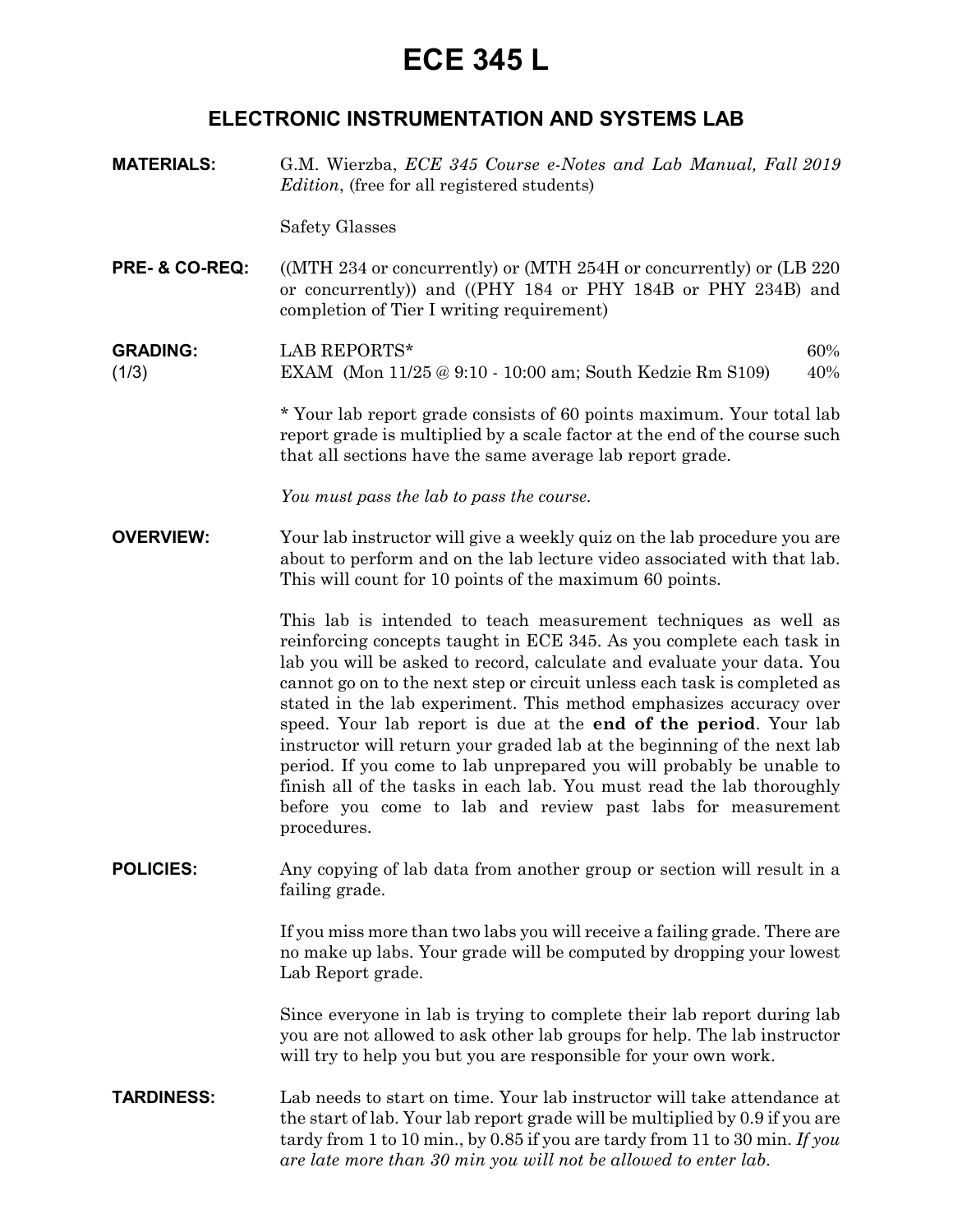## **ECE 345 L**

### **ELECTRONIC INSTRUMENTATION AND SYSTEMS LAB**

**MATERIALS:** G.M. Wierzba, *ECE 345 Course e-Notes and Lab Manual, Fall 2019 Edition*, (free for all registered students)

Safety Glasses

**PRE- & CO-REQ:** ((MTH 234 or concurrently) or (MTH 254H or concurrently) or (LB 220 or concurrently)) and ((PHY 184 or PHY 184B or PHY 234B) and completion of Tier I writing requirement)

**GRADING:** LAB REPORTS\* 60% (1/3) EXAM (Mon 11/25 @ 9:10 - 10:00 am; South Kedzie Rm S109) 40%

> *\** Your lab report grade consists of 60 points maximum. Your total lab report grade is multiplied by a scale factor at the end of the course such that all sections have the same average lab report grade.

*You must pass the lab to pass the course.*

**OVERVIEW:** Your lab instructor will give a weekly quiz on the lab procedure you are about to perform and on the lab lecture video associated with that lab. This will count for 10 points of the maximum 60 points.

> This lab is intended to teach measurement techniques as well as reinforcing concepts taught in ECE 345. As you complete each task in lab you will be asked to record, calculate and evaluate your data. You cannot go on to the next step or circuit unless each task is completed as stated in the lab experiment. This method emphasizes accuracy over speed. Your lab report is due at the **end of the period**. Your lab instructor will return your graded lab at the beginning of the next lab period. If you come to lab unprepared you will probably be unable to finish all of the tasks in each lab. You must read the lab thoroughly before you come to lab and review past labs for measurement procedures.

**POLICIES:** Any copying of lab data from another group or section will result in a failing grade.

> If you miss more than two labs you will receive a failing grade. There are no make up labs. Your grade will be computed by dropping your lowest Lab Report grade.

> Since everyone in lab is trying to complete their lab report during lab you are not allowed to ask other lab groups for help. The lab instructor will try to help you but you are responsible for your own work.

**TARDINESS:** Lab needs to start on time. Your lab instructor will take attendance at the start of lab. Your lab report grade will be multiplied by 0.9 if you are tardy from 1 to 10 min., by 0.85 if you are tardy from 11 to 30 min. *If you are late more than 30 min you will not be allowed to enter lab*.